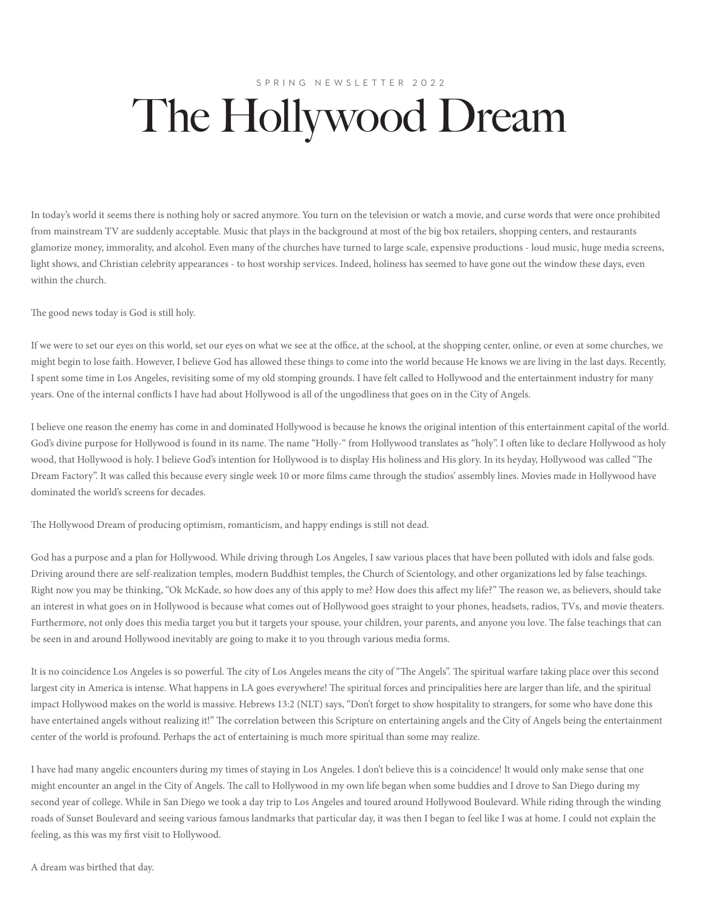## SPRING NEWSLETTER 2022 The Hollywood Dream

In today's world it seems there is nothing holy or sacred anymore. You turn on the television or watch a movie, and curse words that were once prohibited from mainstream TV are suddenly acceptable. Music that plays in the background at most of the big box retailers, shopping centers, and restaurants glamorize money, immorality, and alcohol. Even many of the churches have turned to large scale, expensive productions - loud music, huge media screens, light shows, and Christian celebrity appearances - to host worship services. Indeed, holiness has seemed to have gone out the window these days, even within the church.

The good news today is God is still holy.

If we were to set our eyes on this world, set our eyes on what we see at the office, at the school, at the shopping center, online, or even at some churches, we might begin to lose faith. However, I believe God has allowed these things to come into the world because He knows we are living in the last days. Recently, I spent some time in Los Angeles, revisiting some of my old stomping grounds. I have felt called to Hollywood and the entertainment industry for many years. One of the internal conflicts I have had about Hollywood is all of the ungodliness that goes on in the City of Angels.

I believe one reason the enemy has come in and dominated Hollywood is because he knows the original intention of this entertainment capital of the world. God's divine purpose for Hollywood is found in its name. The name "Holly-" from Hollywood translates as "holy". I often like to declare Hollywood as holy wood, that Hollywood is holy. I believe God's intention for Hollywood is to display His holiness and His glory. In its heyday, Hollywood was called "The Dream Factory". It was called this because every single week 10 or more films came through the studios' assembly lines. Movies made in Hollywood have dominated the world's screens for decades.

The Hollywood Dream of producing optimism, romanticism, and happy endings is still not dead.

God has a purpose and a plan for Hollywood. While driving through Los Angeles, I saw various places that have been polluted with idols and false gods. Driving around there are self-realization temples, modern Buddhist temples, the Church of Scientology, and other organizations led by false teachings. Right now you may be thinking, "Ok McKade, so how does any of this apply to me? How does this affect my life?" The reason we, as believers, should take an interest in what goes on in Hollywood is because what comes out of Hollywood goes straight to your phones, headsets, radios, TVs, and movie theaters. Furthermore, not only does this media target you but it targets your spouse, your children, your parents, and anyone you love. The false teachings that can be seen in and around Hollywood inevitably are going to make it to you through various media forms.

It is no coincidence Los Angeles is so powerful. The city of Los Angeles means the city of "The Angels". The spiritual warfare taking place over this second largest city in America is intense. What happens in LA goes everywhere! The spiritual forces and principalities here are larger than life, and the spiritual impact Hollywood makes on the world is massive. Hebrews 13:2 (NLT) says, "Don't forget to show hospitality to strangers, for some who have done this have entertained angels without realizing it!" The correlation between this Scripture on entertaining angels and the City of Angels being the entertainment center of the world is profound. Perhaps the act of entertaining is much more spiritual than some may realize.

I have had many angelic encounters during my times of staying in Los Angeles. I don't believe this is a coincidence! It would only make sense that one might encounter an angel in the City of Angels. The call to Hollywood in my own life began when some buddies and I drove to San Diego during my second year of college. While in San Diego we took a day trip to Los Angeles and toured around Hollywood Boulevard. While riding through the winding roads of Sunset Boulevard and seeing various famous landmarks that particular day, it was then I began to feel like I was at home. I could not explain the feeling, as this was my first visit to Hollywood.

A dream was birthed that day.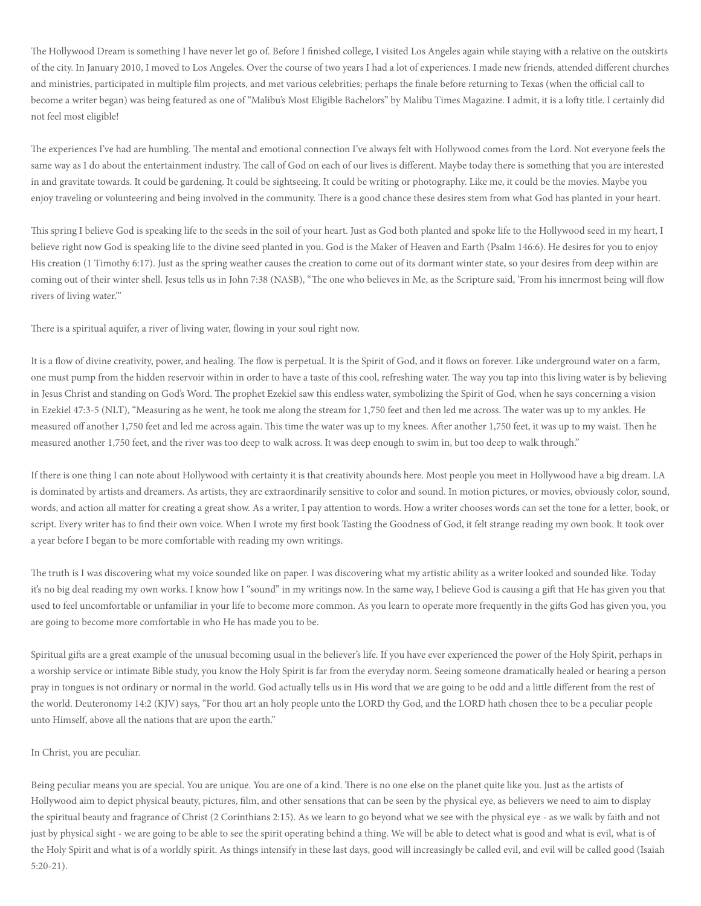The Hollywood Dream is something I have never let go of. Before I finished college, I visited Los Angeles again while staying with a relative on the outskirts of the city. In January 2010, I moved to Los Angeles. Over the course of two years I had a lot of experiences. I made new friends, attended different churches and ministries, participated in multiple film projects, and met various celebrities; perhaps the finale before returning to Texas (when the official call to become a writer began) was being featured as one of "Malibu's Most Eligible Bachelors" by Malibu Times Magazine. I admit, it is a lofty title. I certainly did not feel most eligible!

The experiences I've had are humbling. The mental and emotional connection I've always felt with Hollywood comes from the Lord. Not everyone feels the same way as I do about the entertainment industry. The call of God on each of our lives is different. Maybe today there is something that you are interested in and gravitate towards. It could be gardening. It could be sightseeing. It could be writing or photography. Like me, it could be the movies. Maybe you enjoy traveling or volunteering and being involved in the community. There is a good chance these desires stem from what God has planted in your heart.

This spring I believe God is speaking life to the seeds in the soil of your heart. Just as God both planted and spoke life to the Hollywood seed in my heart, I believe right now God is speaking life to the divine seed planted in you. God is the Maker of Heaven and Earth (Psalm 146:6). He desires for you to enjoy His creation (1 Timothy 6:17). Just as the spring weather causes the creation to come out of its dormant winter state, so your desires from deep within are coming out of their winter shell. Jesus tells us in John 7:38 (NASB), "The one who believes in Me, as the Scripture said, 'From his innermost being will flow rivers of living water.'"

There is a spiritual aquifer, a river of living water, flowing in your soul right now.

It is a flow of divine creativity, power, and healing. The flow is perpetual. It is the Spirit of God, and it flows on forever. Like underground water on a farm, one must pump from the hidden reservoir within in order to have a taste of this cool, refreshing water. The way you tap into this living water is by believing in Jesus Christ and standing on God's Word. The prophet Ezekiel saw this endless water, symbolizing the Spirit of God, when he says concerning a vision in Ezekiel 47:3-5 (NLT), "Measuring as he went, he took me along the stream for 1,750 feet and then led me across. The water was up to my ankles. He measured off another 1,750 feet and led me across again. This time the water was up to my knees. After another 1,750 feet, it was up to my waist. Then he measured another 1,750 feet, and the river was too deep to walk across. It was deep enough to swim in, but too deep to walk through."

If there is one thing I can note about Hollywood with certainty it is that creativity abounds here. Most people you meet in Hollywood have a big dream. LA is dominated by artists and dreamers. As artists, they are extraordinarily sensitive to color and sound. In motion pictures, or movies, obviously color, sound, words, and action all matter for creating a great show. As a writer, I pay attention to words. How a writer chooses words can set the tone for a letter, book, or script. Every writer has to find their own voice. When I wrote my first book Tasting the Goodness of God, it felt strange reading my own book. It took over a year before I began to be more comfortable with reading my own writings.

The truth is I was discovering what my voice sounded like on paper. I was discovering what my artistic ability as a writer looked and sounded like. Today it's no big deal reading my own works. I know how I "sound" in my writings now. In the same way, I believe God is causing a gift that He has given you that used to feel uncomfortable or unfamiliar in your life to become more common. As you learn to operate more frequently in the gifts God has given you, you are going to become more comfortable in who He has made you to be.

Spiritual gifts are a great example of the unusual becoming usual in the believer's life. If you have ever experienced the power of the Holy Spirit, perhaps in a worship service or intimate Bible study, you know the Holy Spirit is far from the everyday norm. Seeing someone dramatically healed or hearing a person pray in tongues is not ordinary or normal in the world. God actually tells us in His word that we are going to be odd and a little different from the rest of the world. Deuteronomy 14:2 (KJV) says, "For thou art an holy people unto the LORD thy God, and the LORD hath chosen thee to be a peculiar people unto Himself, above all the nations that are upon the earth."

## In Christ, you are peculiar.

Being peculiar means you are special. You are unique. You are one of a kind. There is no one else on the planet quite like you. Just as the artists of Hollywood aim to depict physical beauty, pictures, film, and other sensations that can be seen by the physical eye, as believers we need to aim to display the spiritual beauty and fragrance of Christ (2 Corinthians 2:15). As we learn to go beyond what we see with the physical eye - as we walk by faith and not just by physical sight - we are going to be able to see the spirit operating behind a thing. We will be able to detect what is good and what is evil, what is of the Holy Spirit and what is of a worldly spirit. As things intensify in these last days, good will increasingly be called evil, and evil will be called good (Isaiah 5:20-21).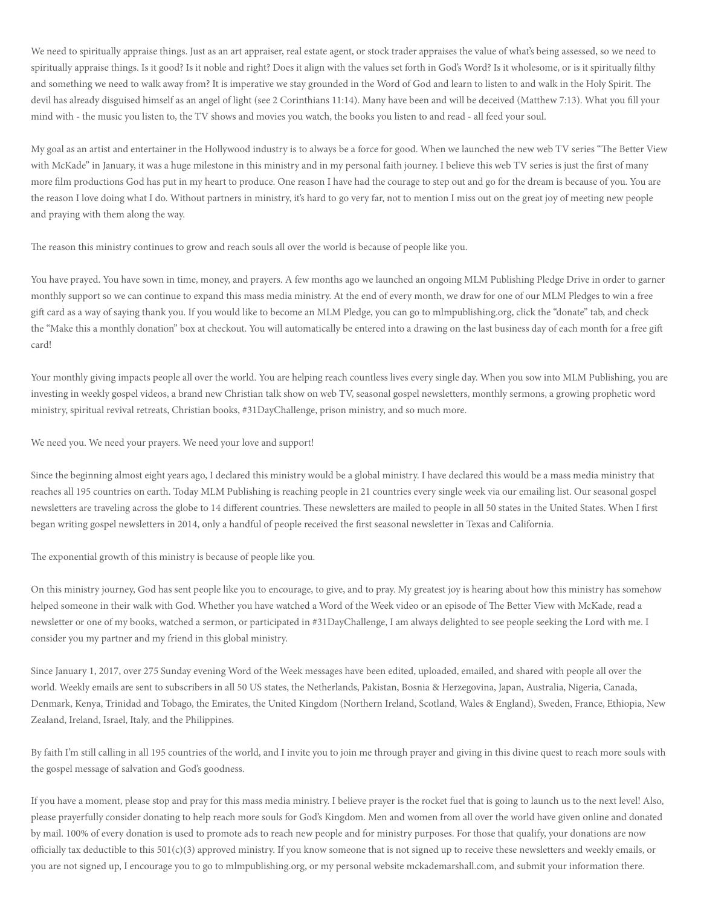We need to spiritually appraise things. Just as an art appraiser, real estate agent, or stock trader appraises the value of what's being assessed, so we need to spiritually appraise things. Is it good? Is it noble and right? Does it align with the values set forth in God's Word? Is it wholesome, or is it spiritually filthy and something we need to walk away from? It is imperative we stay grounded in the Word of God and learn to listen to and walk in the Holy Spirit. The devil has already disguised himself as an angel of light (see 2 Corinthians 11:14). Many have been and will be deceived (Matthew 7:13). What you fill your mind with - the music you listen to, the TV shows and movies you watch, the books you listen to and read - all feed your soul.

My goal as an artist and entertainer in the Hollywood industry is to always be a force for good. When we launched the new web TV series "The Better View with McKade" in January, it was a huge milestone in this ministry and in my personal faith journey. I believe this web TV series is just the first of many more film productions God has put in my heart to produce. One reason I have had the courage to step out and go for the dream is because of you. You are the reason I love doing what I do. Without partners in ministry, it's hard to go very far, not to mention I miss out on the great joy of meeting new people and praying with them along the way.

The reason this ministry continues to grow and reach souls all over the world is because of people like you.

You have prayed. You have sown in time, money, and prayers. A few months ago we launched an ongoing MLM Publishing Pledge Drive in order to garner monthly support so we can continue to expand this mass media ministry. At the end of every month, we draw for one of our MLM Pledges to win a free gift card as a way of saying thank you. If you would like to become an MLM Pledge, you can go to mlmpublishing.org, click the "donate" tab, and check the "Make this a monthly donation" box at checkout. You will automatically be entered into a drawing on the last business day of each month for a free gift card!

Your monthly giving impacts people all over the world. You are helping reach countless lives every single day. When you sow into MLM Publishing, you are investing in weekly gospel videos, a brand new Christian talk show on web TV, seasonal gospel newsletters, monthly sermons, a growing prophetic word ministry, spiritual revival retreats, Christian books, #31DayChallenge, prison ministry, and so much more.

We need you. We need your prayers. We need your love and support!

Since the beginning almost eight years ago, I declared this ministry would be a global ministry. I have declared this would be a mass media ministry that reaches all 195 countries on earth. Today MLM Publishing is reaching people in 21 countries every single week via our emailing list. Our seasonal gospel newsletters are traveling across the globe to 14 different countries. These newsletters are mailed to people in all 50 states in the United States. When I first began writing gospel newsletters in 2014, only a handful of people received the first seasonal newsletter in Texas and California.

The exponential growth of this ministry is because of people like you.

On this ministry journey, God has sent people like you to encourage, to give, and to pray. My greatest joy is hearing about how this ministry has somehow helped someone in their walk with God. Whether you have watched a Word of the Week video or an episode of The Better View with McKade, read a newsletter or one of my books, watched a sermon, or participated in #31DayChallenge, I am always delighted to see people seeking the Lord with me. I consider you my partner and my friend in this global ministry.

Since January 1, 2017, over 275 Sunday evening Word of the Week messages have been edited, uploaded, emailed, and shared with people all over the world. Weekly emails are sent to subscribers in all 50 US states, the Netherlands, Pakistan, Bosnia & Herzegovina, Japan, Australia, Nigeria, Canada, Denmark, Kenya, Trinidad and Tobago, the Emirates, the United Kingdom (Northern Ireland, Scotland, Wales & England), Sweden, France, Ethiopia, New Zealand, Ireland, Israel, Italy, and the Philippines.

By faith I'm still calling in all 195 countries of the world, and I invite you to join me through prayer and giving in this divine quest to reach more souls with the gospel message of salvation and God's goodness.

If you have a moment, please stop and pray for this mass media ministry. I believe prayer is the rocket fuel that is going to launch us to the next level! Also, please prayerfully consider donating to help reach more souls for God's Kingdom. Men and women from all over the world have given online and donated by mail. 100% of every donation is used to promote ads to reach new people and for ministry purposes. For those that qualify, your donations are now officially tax deductible to this  $501(c)(3)$  approved ministry. If you know someone that is not signed up to receive these newsletters and weekly emails, or you are not signed up, I encourage you to go to mlmpublishing.org, or my personal website mckademarshall.com, and submit your information there.